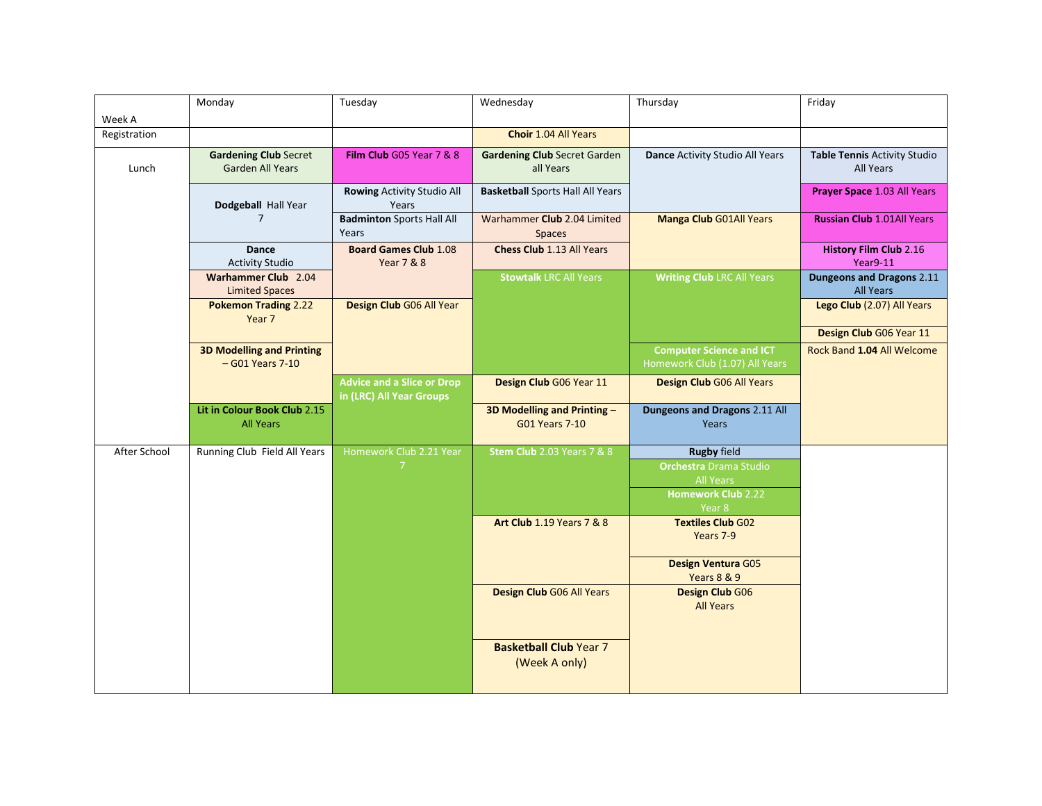| Week A       | Monday                                                  | Tuesday                                                       | Wednesday                                           | Thursday                                                          | Friday                                               |
|--------------|---------------------------------------------------------|---------------------------------------------------------------|-----------------------------------------------------|-------------------------------------------------------------------|------------------------------------------------------|
| Registration |                                                         |                                                               | <b>Choir 1.04 All Years</b>                         |                                                                   |                                                      |
| Lunch        | <b>Gardening Club Secret</b><br><b>Garden All Years</b> | Film Club G05 Year 7 & 8                                      | <b>Gardening Club Secret Garden</b><br>all Years    | Dance Activity Studio All Years                                   | Table Tennis Activity Studio<br>All Years            |
|              | Dodgeball Hall Year                                     | Rowing Activity Studio All<br>Years                           | <b>Basketball</b> Sports Hall All Years             |                                                                   | Prayer Space 1.03 All Years                          |
|              | $\overline{7}$                                          | <b>Badminton</b> Sports Hall All<br>Years                     | Warhammer Club 2.04 Limited<br><b>Spaces</b>        | <b>Manga Club G01All Years</b>                                    | <b>Russian Club 1.01All Years</b>                    |
|              | <b>Dance</b><br><b>Activity Studio</b>                  | <b>Board Games Club 1.08</b><br><b>Year 7 &amp; 8</b>         | <b>Chess Club 1.13 All Years</b>                    |                                                                   | <b>History Film Club 2.16</b><br>Year9-11            |
|              | <b>Warhammer Club</b> 2.04<br><b>Limited Spaces</b>     |                                                               | <b>Stowtalk LRC All Years</b>                       | <b>Writing Club LRC All Years</b>                                 | <b>Dungeons and Dragons 2.11</b><br><b>All Years</b> |
|              | <b>Pokemon Trading 2.22</b><br>Year 7                   | Design Club G06 All Year                                      |                                                     |                                                                   | Lego Club (2.07) All Years                           |
|              |                                                         |                                                               |                                                     |                                                                   | Design Club G06 Year 11                              |
|              | <b>3D Modelling and Printing</b><br>- G01 Years 7-10    |                                                               |                                                     | <b>Computer Science and ICT</b><br>Homework Club (1.07) All Years | Rock Band 1.04 All Welcome                           |
|              |                                                         | <b>Advice and a Slice or Drop</b><br>in (LRC) All Year Groups | Design Club G06 Year 11                             | Design Club G06 All Years                                         |                                                      |
|              | Lit in Colour Book Club 2.15<br><b>All Years</b>        |                                                               | 3D Modelling and Printing-<br><b>G01 Years 7-10</b> | Dungeons and Dragons 2.11 All<br>Years                            |                                                      |
| After School | Running Club Field All Years                            | Homework Club 2.21 Year                                       | <b>Stem Club</b> 2.03 Years 7 & 8                   | <b>Rugby field</b>                                                |                                                      |
|              |                                                         |                                                               |                                                     | <b>Orchestra Drama Studio</b>                                     |                                                      |
|              |                                                         |                                                               |                                                     | <b>All Years</b><br>Homework Club <sub>2.22</sub>                 |                                                      |
|              |                                                         |                                                               | <b>Art Club</b> 1.19 Years 7 & 8                    | Year 8<br><b>Textiles Club G02</b>                                |                                                      |
|              |                                                         |                                                               |                                                     | Years 7-9                                                         |                                                      |
|              |                                                         |                                                               |                                                     | <b>Design Ventura G05</b><br>Years 8 & 9                          |                                                      |
|              |                                                         |                                                               | Design Club G06 All Years                           | <b>Design Club G06</b><br><b>All Years</b>                        |                                                      |
|              |                                                         |                                                               | <b>Basketball Club Year 7</b><br>(Week A only)      |                                                                   |                                                      |